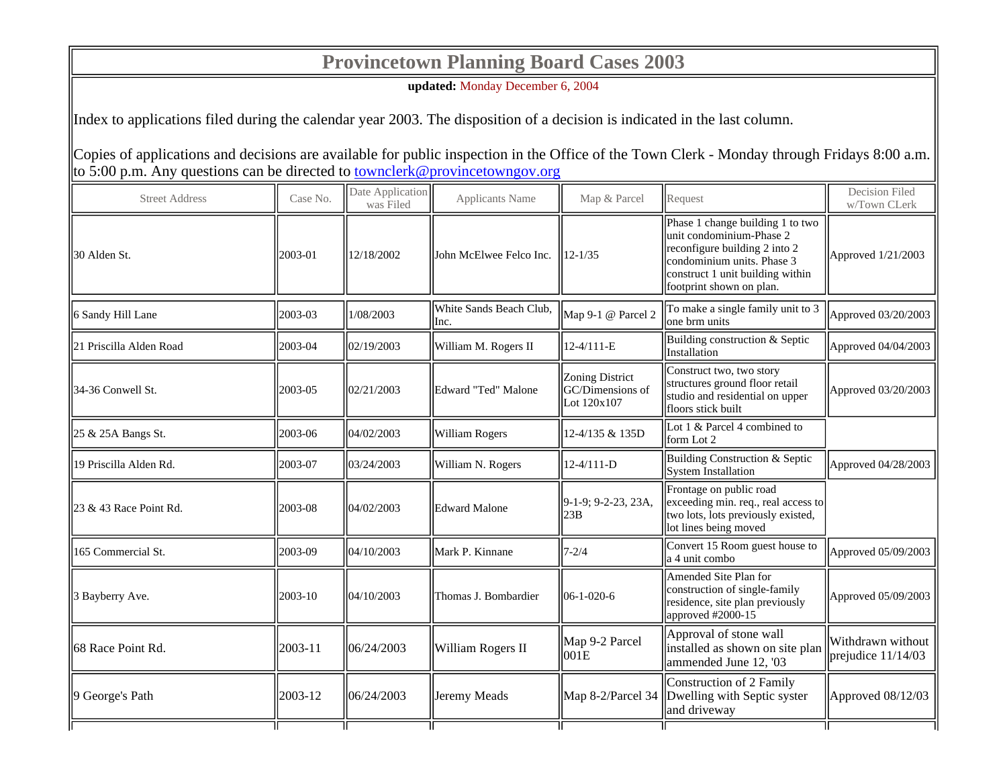## **Provincetown Planning Board Cases 2003**

**updated:** Monday December 6, 2004

Index to applications filed during the calendar year 2003. The disposition of a decision is indicated in the last column.

Copies of applications and decisions are available for public inspection in the Office of the Town Clerk - Monday through Fridays 8:00 a.m. to 5:00 p.m. Any questions can be directed to **townclerk@provincetowngov.org** 

| <b>Street Address</b>   | Case No. | Date Application<br>was Filed | <b>Applicants Name</b>          | Map & Parcel                                       | Request                                                                                                                                                                                     | Decision Filed<br>w/Town CLerk            |
|-------------------------|----------|-------------------------------|---------------------------------|----------------------------------------------------|---------------------------------------------------------------------------------------------------------------------------------------------------------------------------------------------|-------------------------------------------|
| 30 Alden St.            | 2003-01  | 12/18/2002                    | John McElwee Felco Inc.         | $12 - 1/35$                                        | Phase 1 change building 1 to two<br>unit condominium-Phase 2<br>reconfigure building 2 into 2<br>condominium units. Phase 3<br>construct 1 unit building within<br>footprint shown on plan. | Approved 1/21/2003                        |
| 6 Sandy Hill Lane       | 2003-03  | 1/08/2003                     | White Sands Beach Club,<br>Inc. | Map 9-1 @ Parcel 2                                 | To make a single family unit to 3<br>one brm units                                                                                                                                          | Approved 03/20/2003                       |
| 21 Priscilla Alden Road | 2003-04  | 02/19/2003                    | William M. Rogers II            | 12-4/111-E                                         | Building construction & Septic<br>Installation                                                                                                                                              | Approved 04/04/2003                       |
| 34-36 Conwell St.       | 2003-05  | 02/21/2003                    | Edward "Ted" Malone             | Zoning District<br>GC/Dimensions of<br>Lot 120x107 | Construct two, two story<br>structures ground floor retail<br>studio and residential on upper<br>floors stick built                                                                         | Approved 03/20/2003                       |
| 25 & 25A Bangs St.      | 2003-06  | 04/02/2003                    | William Rogers                  | 12-4/135 & 135D                                    | Lot 1 & Parcel 4 combined to<br>form Lot 2                                                                                                                                                  |                                           |
| 19 Priscilla Alden Rd.  | 2003-07  | 103/24/2003                   | William N. Rogers               | $12 - 4/111 - D$                                   | Building Construction & Septic<br>System Installation                                                                                                                                       | $\Delta$ pproved 04/28/2003               |
| 23 & 43 Race Point Rd.  | 2003-08  | 04/02/2003                    | Edward Malone                   | $ 9-1-9; 9-2-23, 23A,$<br>23B                      | Frontage on public road<br>exceeding min. req., real access to<br>two lots, lots previously existed,<br>lot lines being moved                                                               |                                           |
| 165 Commercial St.      | 2003-09  | 104/10/2003                   | Mark P. Kinnane                 | $17 - 2/4$                                         | Convert 15 Room guest house to<br>a 4 unit combo                                                                                                                                            | Approved 05/09/2003                       |
| 3 Bayberry Ave.         | 2003-10  | 104/10/2003                   | Thomas J. Bombardier            | $106 - 1 - 020 - 6$                                | Amended Site Plan for<br>construction of single-family<br>residence, site plan previously<br>approved $\#2000-15$                                                                           | Approved 05/09/2003                       |
| 68 Race Point Rd.       | 2003-11  | 06/24/2003                    | William Rogers II               | Map 9-2 Parcel<br>$\vert$ 001E                     | Approval of stone wall<br>installed as shown on site plan<br>ammended June 12, '03                                                                                                          | Withdrawn without<br>prejudice $11/14/03$ |
| 9 George's Path         | 2003-12  | 06/24/2003                    | Jeremy Meads                    |                                                    | Construction of 2 Family<br>Map 8-2/Parcel 34 Dwelling with Septic syster<br>and driveway                                                                                                   | Approved 08/12/03                         |
|                         |          |                               |                                 |                                                    |                                                                                                                                                                                             |                                           |